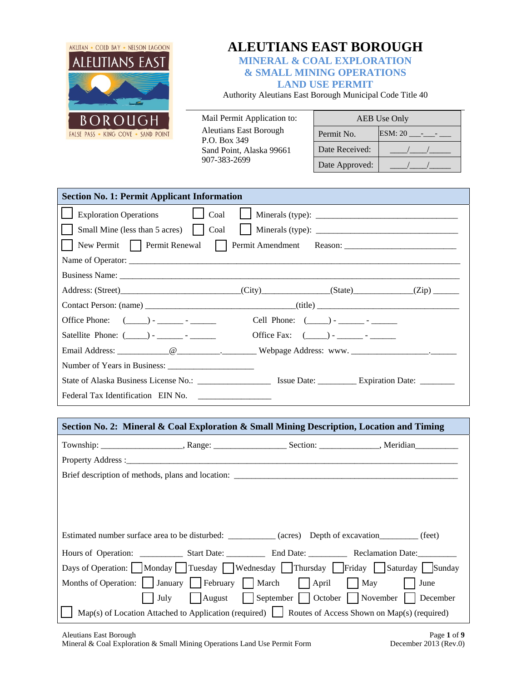

# **ALEUTIANS EAST BOROUGH**

**MINERAL & COAL EXPLORATION & SMALL MINING OPERATIONS LAND USE PERMIT** 

Authority Aleutians East Borough Municipal Code Title 40

Mail Permit Application to: Aleutians East Borough P.O. Box 349 Sand Point, Alaska 99661 907-383-2699

| AEB Use Only   |  |  |
|----------------|--|--|
| Permit No.     |  |  |
| Date Received: |  |  |
| Date Approved: |  |  |

| <b>Section No. 1: Permit Applicant Information</b>                                                     |  |                                                              |  |  |
|--------------------------------------------------------------------------------------------------------|--|--------------------------------------------------------------|--|--|
| $\Box$ Coal<br><b>Exploration Operations</b>                                                           |  |                                                              |  |  |
| Small Mine (less than 5 acres)     Coal                                                                |  | Minerals (type):                                             |  |  |
| New Permit Permit Renewal Permit Amendment Reason: _____________________________                       |  |                                                              |  |  |
|                                                                                                        |  |                                                              |  |  |
|                                                                                                        |  |                                                              |  |  |
|                                                                                                        |  |                                                              |  |  |
|                                                                                                        |  |                                                              |  |  |
| Office Phone: $(\_\_\_\_\_\_\_\_\_\_$ .                                                                |  | Cell Phone: $(\_\_\_\$ ) - $\_\_\_\_\_\_\$ - $\_\_\_\_\_\_\$ |  |  |
| Office Fax: $(\_\_\_\$ ) - _________ - ________<br>Satellite Phone: $(\_\_\_\_\$ - ________ - ________ |  |                                                              |  |  |
|                                                                                                        |  |                                                              |  |  |
|                                                                                                        |  |                                                              |  |  |
|                                                                                                        |  |                                                              |  |  |
| Federal Tax Identification EIN No.<br><u> 1989 - Andrea Brand, Amerikaansk politik (</u>               |  |                                                              |  |  |

# **Section No. 2: Mineral & Coal Exploration & Small Mining Description, Location and Timing**  Township: \_\_\_\_\_\_\_\_\_\_\_\_\_\_\_\_\_\_\_, Range: \_\_\_\_\_\_\_\_\_\_\_\_\_\_\_\_\_ Section: \_\_\_\_\_\_\_\_\_\_\_\_\_\_, Meridian\_\_\_\_\_\_\_\_\_\_ Property Address : Brief description of methods, plans and location: \_\_\_\_\_\_\_\_\_\_\_\_\_\_\_\_\_\_\_\_\_\_\_\_\_\_\_\_\_\_ Estimated number surface area to be disturbed: \_\_\_\_\_\_\_\_\_\_\_ (acres) Depth of excavation \_\_\_\_\_\_\_ (feet) Hours of Operation: \_\_\_\_\_\_\_\_\_\_\_\_\_ Start Date: \_\_\_\_\_\_\_\_\_\_\_\_\_ End Date: \_\_\_\_\_\_\_\_\_\_\_ Reclamation Date: Days of Operation:  $\Box$  Monday  $\Box$  Tuesday  $\Box$  Wednesday  $\Box$  Thursday  $\Box$  Friday  $\Box$  Saturday  $\Box$  Sunday Months of Operation:  $\Box$  January  $\Box$  February  $\Box$  March  $\Box$  April  $\Box$  May  $\Box$  June July August September October November December Map(s) of Location Attached to Application (required) Routes of Access Shown on Map(s) (required)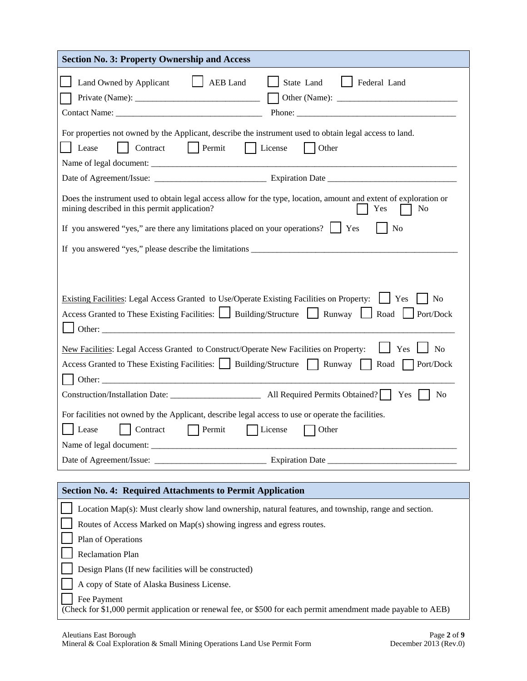| <b>Section No. 3: Property Ownership and Access</b>                                                                                                                                                                                         |
|---------------------------------------------------------------------------------------------------------------------------------------------------------------------------------------------------------------------------------------------|
| Land Owned by Applicant<br>AEB Land<br>State Land<br>Federal Land<br>Contact Name: Phone: Phone: Phone: Phone: 2003.                                                                                                                        |
| For properties not owned by the Applicant, describe the instrument used to obtain legal access to land.<br>Contract<br>Permit<br>Other<br>Lease<br>  License                                                                                |
|                                                                                                                                                                                                                                             |
| Does the instrument used to obtain legal access allow for the type, location, amount and extent of exploration or<br>mining described in this permit application?<br>No<br>Yes                                                              |
| If you answered "yes," are there any limitations placed on your operations? $\Box$ Yes<br>N <sub>o</sub>                                                                                                                                    |
| If you answered "yes," please describe the limitations                                                                                                                                                                                      |
|                                                                                                                                                                                                                                             |
| Existing Facilities: Legal Access Granted to Use/Operate Existing Facilities on Property:<br>N <sub>o</sub><br>$ $ Yes<br>Access Granted to These Existing Facilities: Suilding/Structure Suilding Punway Suilding Road<br>$\log Port/Dock$ |
| New Facilities: Legal Access Granted to Construct/Operate New Facilities on Property:<br>Yes<br>N <sub>o</sub><br>Access Granted to These Existing Facilities: Building/Structure Runway<br>Port/Dock<br>Road<br>Other:                     |
| Yes<br>N <sub>0</sub>                                                                                                                                                                                                                       |
| For facilities not owned by the Applicant, describe legal access to use or operate the facilities.                                                                                                                                          |
| Lease<br>Contract<br>Permit<br>License<br>Other                                                                                                                                                                                             |
|                                                                                                                                                                                                                                             |
|                                                                                                                                                                                                                                             |
| <b>Section No. 4: Required Attachments to Permit Application</b>                                                                                                                                                                            |
| Location Map(s): Must clearly show land ownership, natural features, and township, range and section.                                                                                                                                       |
| Routes of Access Marked on Map(s) showing ingress and egress routes.                                                                                                                                                                        |
| Plan of Operations                                                                                                                                                                                                                          |
| <b>Reclamation Plan</b>                                                                                                                                                                                                                     |
| Design Plans (If new facilities will be constructed)                                                                                                                                                                                        |
| A copy of State of Alaska Business License.                                                                                                                                                                                                 |
| Fee Payment<br>(Check for \$1,000 permit application or renewal fee, or \$500 for each permit amendment made payable to AEB)                                                                                                                |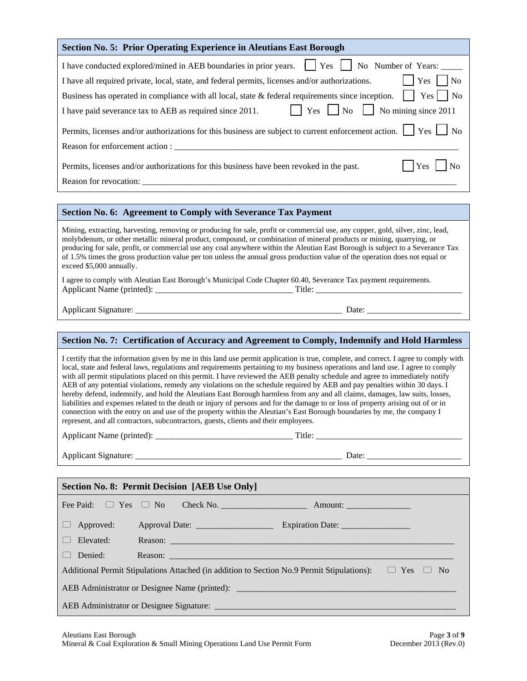| <b>Section No. 5: Prior Operating Experience in Aleutians East Borough</b>                                                                                                                                                                                                                                                                                                                                                                                                                                                                                                                                                                                                                                                                                                                                                                                                                                                                                                                                                     |
|--------------------------------------------------------------------------------------------------------------------------------------------------------------------------------------------------------------------------------------------------------------------------------------------------------------------------------------------------------------------------------------------------------------------------------------------------------------------------------------------------------------------------------------------------------------------------------------------------------------------------------------------------------------------------------------------------------------------------------------------------------------------------------------------------------------------------------------------------------------------------------------------------------------------------------------------------------------------------------------------------------------------------------|
| I have conducted explored/mined in AEB boundaries in prior years.     Yes     No Number of Years:<br>$ $ Yes $ $<br>N <sub>o</sub><br>I have all required private, local, state, and federal permits, licenses and/or authorizations.<br>Business has operated in compliance with all local, state & federal requirements since inception. $\vert \vert$ Yes $\vert \vert$ No<br>$\Box$ Yes $\Box$ No $\Box$ No mining since 2011<br>I have paid severance tax to AEB as required since 2011.                                                                                                                                                                                                                                                                                                                                                                                                                                                                                                                                  |
| Permits, licenses and/or authorizations for this business are subject to current enforcement action. The Yes No                                                                                                                                                                                                                                                                                                                                                                                                                                                                                                                                                                                                                                                                                                                                                                                                                                                                                                                |
| Permits, licenses and/or authorizations for this business have been revoked in the past.<br>Yes<br>$\vert$   No                                                                                                                                                                                                                                                                                                                                                                                                                                                                                                                                                                                                                                                                                                                                                                                                                                                                                                                |
| Section No. 6: Agreement to Comply with Severance Tax Payment                                                                                                                                                                                                                                                                                                                                                                                                                                                                                                                                                                                                                                                                                                                                                                                                                                                                                                                                                                  |
| Mining, extracting, harvesting, removing or producing for sale, profit or commercial use, any copper, gold, silver, zinc, lead,<br>molybdenum, or other metallic mineral product, compound, or combination of mineral products or mining, quarrying, or<br>producing for sale, profit, or commercial use any coal anywhere within the Aleutian East Borough is subject to a Severance Tax<br>of 1.5% times the gross production value per ton unless the annual gross production value of the operation does not equal or<br>exceed \$5,000 annually.<br>I agree to comply with Aleutian East Borough's Municipal Code Chapter 60.40, Severance Tax payment requirements.                                                                                                                                                                                                                                                                                                                                                      |
|                                                                                                                                                                                                                                                                                                                                                                                                                                                                                                                                                                                                                                                                                                                                                                                                                                                                                                                                                                                                                                |
|                                                                                                                                                                                                                                                                                                                                                                                                                                                                                                                                                                                                                                                                                                                                                                                                                                                                                                                                                                                                                                |
|                                                                                                                                                                                                                                                                                                                                                                                                                                                                                                                                                                                                                                                                                                                                                                                                                                                                                                                                                                                                                                |
| Section No. 7: Certification of Accuracy and Agreement to Comply, Indemnify and Hold Harmless                                                                                                                                                                                                                                                                                                                                                                                                                                                                                                                                                                                                                                                                                                                                                                                                                                                                                                                                  |
| I certify that the information given by me in this land use permit application is true, complete, and correct. I agree to comply with<br>local, state and federal laws, regulations and requirements pertaining to my business operations and land use. I agree to comply<br>with all permit stipulations placed on this permit. I have reviewed the AEB penalty schedule and agree to immediately notify<br>AEB of any potential violations, remedy any violations on the schedule required by AEB and pay penalties within 30 days. I<br>hereby defend, indemnify, and hold the Aleutians East Borough harmless from any and all claims, damages, law suits, losses,<br>liabilities and expenses related to the death or injury of persons and for the damage to or loss of property arising out of or in<br>connection with the entry on and use of the property within the Aleutian's East Borough boundaries by me, the company I<br>represent, and all contractors, subcontractors, guests, clients and their employees. |
|                                                                                                                                                                                                                                                                                                                                                                                                                                                                                                                                                                                                                                                                                                                                                                                                                                                                                                                                                                                                                                |
|                                                                                                                                                                                                                                                                                                                                                                                                                                                                                                                                                                                                                                                                                                                                                                                                                                                                                                                                                                                                                                |
|                                                                                                                                                                                                                                                                                                                                                                                                                                                                                                                                                                                                                                                                                                                                                                                                                                                                                                                                                                                                                                |
| <b>Section No. 8: Permit Decision [AEB Use Only]</b>                                                                                                                                                                                                                                                                                                                                                                                                                                                                                                                                                                                                                                                                                                                                                                                                                                                                                                                                                                           |
| Fee Paid:<br>$\Box$ Yes $\Box$ No                                                                                                                                                                                                                                                                                                                                                                                                                                                                                                                                                                                                                                                                                                                                                                                                                                                                                                                                                                                              |
| Approved:                                                                                                                                                                                                                                                                                                                                                                                                                                                                                                                                                                                                                                                                                                                                                                                                                                                                                                                                                                                                                      |
| Elevated:                                                                                                                                                                                                                                                                                                                                                                                                                                                                                                                                                                                                                                                                                                                                                                                                                                                                                                                                                                                                                      |
| Denied:<br>Reason: <b>Example 2008 Contract Contract Contract Contract Contract Contract Contract Contract Contract Contract Contract Contract Contract Contract Contract Contract Contract Contract Contract Contract Contract Contract </b><br>Additional Permit Stipulations Attached (in addition to Section No.9 Permit Stipulations): $\Box$ Yes $\Box$ No                                                                                                                                                                                                                                                                                                                                                                                                                                                                                                                                                                                                                                                               |
| AEB Administrator or Designee Name (printed): ___________________________________                                                                                                                                                                                                                                                                                                                                                                                                                                                                                                                                                                                                                                                                                                                                                                                                                                                                                                                                              |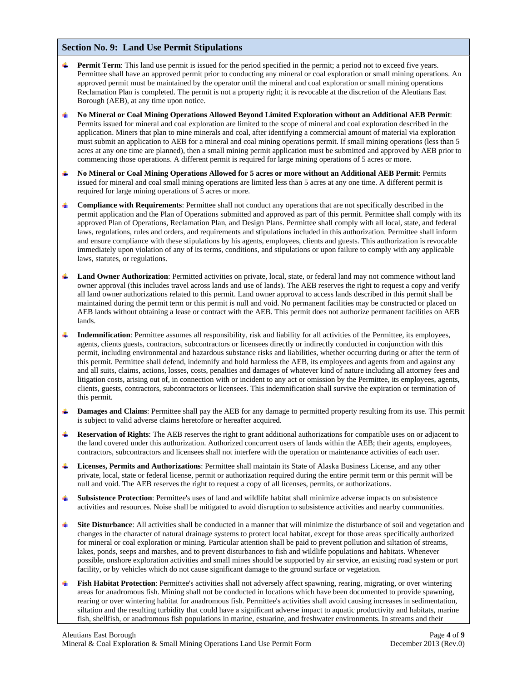### **Section No. 9: Land Use Permit Stipulations**

- **Permit Term**: This land use permit is issued for the period specified in the permit; a period not to exceed five years. Permittee shall have an approved permit prior to conducting any mineral or coal exploration or small mining operations. An approved permit must be maintained by the operator until the mineral and coal exploration or small mining operations Reclamation Plan is completed. The permit is not a property right; it is revocable at the discretion of the Aleutians East Borough (AEB), at any time upon notice.
- **No Mineral or Coal Mining Operations Allowed Beyond Limited Exploration without an Additional AEB Permit**: Permits issued for mineral and coal exploration are limited to the scope of mineral and coal exploration described in the application. Miners that plan to mine minerals and coal, after identifying a commercial amount of material via exploration must submit an application to AEB for a mineral and coal mining operations permit. If small mining operations (less than 5 acres at any one time are planned), then a small mining permit application must be submitted and approved by AEB prior to commencing those operations. A different permit is required for large mining operations of 5 acres or more.
- **No Mineral or Coal Mining Operations Allowed for 5 acres or more without an Additional AEB Permit**: Permits issued for mineral and coal small mining operations are limited less than 5 acres at any one time. A different permit is required for large mining operations of 5 acres or more.
- **Compliance with Requirements**: Permittee shall not conduct any operations that are not specifically described in the permit application and the Plan of Operations submitted and approved as part of this permit. Permittee shall comply with its approved Plan of Operations, Reclamation Plan, and Design Plans. Permittee shall comply with all local, state, and federal laws, regulations, rules and orders, and requirements and stipulations included in this authorization. Permittee shall inform and ensure compliance with these stipulations by his agents, employees, clients and guests. This authorization is revocable immediately upon violation of any of its terms, conditions, and stipulations or upon failure to comply with any applicable laws, statutes, or regulations.
- **Land Owner Authorization**: Permitted activities on private, local, state, or federal land may not commence without land owner approval (this includes travel across lands and use of lands). The AEB reserves the right to request a copy and verify all land owner authorizations related to this permit. Land owner approval to access lands described in this permit shall be maintained during the permit term or this permit is null and void. No permanent facilities may be constructed or placed on AEB lands without obtaining a lease or contract with the AEB. This permit does not authorize permanent facilities on AEB lands.
- **Indemnification**: Permittee assumes all responsibility, risk and liability for all activities of the Permittee, its employees, agents, clients guests, contractors, subcontractors or licensees directly or indirectly conducted in conjunction with this permit, including environmental and hazardous substance risks and liabilities, whether occurring during or after the term of this permit. Permittee shall defend, indemnify and hold harmless the AEB, its employees and agents from and against any and all suits, claims, actions, losses, costs, penalties and damages of whatever kind of nature including all attorney fees and litigation costs, arising out of, in connection with or incident to any act or omission by the Permittee, its employees, agents, clients, guests, contractors, subcontractors or licensees. This indemnification shall survive the expiration or termination of this permit.
- **Damages and Claims**: Permittee shall pay the AEB for any damage to permitted property resulting from its use. This permit is subject to valid adverse claims heretofore or hereafter acquired.
- **Reservation of Rights**: The AEB reserves the right to grant additional authorizations for compatible uses on or adjacent to the land covered under this authorization. Authorized concurrent users of lands within the AEB; their agents, employees, contractors, subcontractors and licensees shall not interfere with the operation or maintenance activities of each user.
- **Licenses, Permits and Authorizations**: Permittee shall maintain its State of Alaska Business License, and any other private, local, state or federal license, permit or authorization required during the entire permit term or this permit will be null and void. The AEB reserves the right to request a copy of all licenses, permits, or authorizations.
- **Subsistence Protection**: Permittee's uses of land and wildlife habitat shall minimize adverse impacts on subsistence activities and resources. Noise shall be mitigated to avoid disruption to subsistence activities and nearby communities.
- **Site Disturbance**: All activities shall be conducted in a manner that will minimize the disturbance of soil and vegetation and changes in the character of natural drainage systems to protect local habitat, except for those areas specifically authorized for mineral or coal exploration or mining. Particular attention shall be paid to prevent pollution and siltation of streams, lakes, ponds, seeps and marshes, and to prevent disturbances to fish and wildlife populations and habitats. Whenever possible, onshore exploration activities and small mines should be supported by air service, an existing road system or port facility, or by vehicles which do not cause significant damage to the ground surface or vegetation.
- **Fish Habitat Protection**: Permittee's activities shall not adversely affect spawning, rearing, migrating, or over wintering areas for anadromous fish. Mining shall not be conducted in locations which have been documented to provide spawning, rearing or over wintering habitat for anadromous fish. Permittee's activities shall avoid causing increases in sedimentation, siltation and the resulting turbidity that could have a significant adverse impact to aquatic productivity and habitats, marine fish, shellfish, or anadromous fish populations in marine, estuarine, and freshwater environments. In streams and their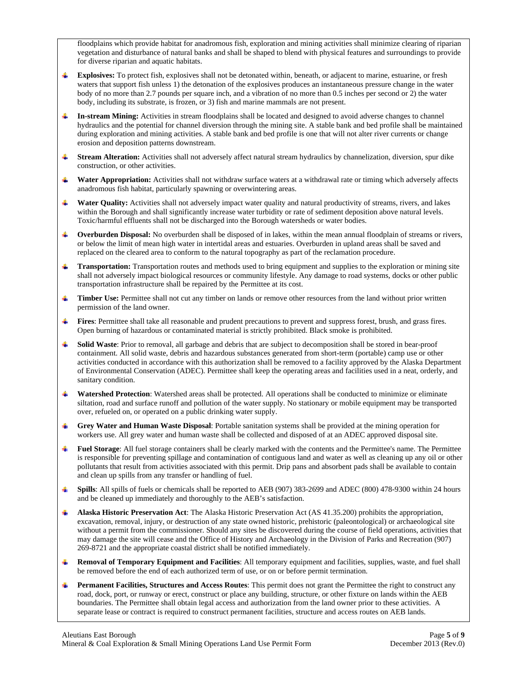floodplains which provide habitat for anadromous fish, exploration and mining activities shall minimize clearing of riparian vegetation and disturbance of natural banks and shall be shaped to blend with physical features and surroundings to provide for diverse riparian and aquatic habitats.

- **Explosives:** To protect fish, explosives shall not be detonated within, beneath, or adjacent to marine, estuarine, or fresh waters that support fish unless 1) the detonation of the explosives produces an instantaneous pressure change in the water body of no more than 2.7 pounds per square inch, and a vibration of no more than 0.5 inches per second or 2) the water body, including its substrate, is frozen, or 3) fish and marine mammals are not present.
- **In-stream Mining:** Activities in stream floodplains shall be located and designed to avoid adverse changes to channel hydraulics and the potential for channel diversion through the mining site. A stable bank and bed profile shall be maintained during exploration and mining activities. A stable bank and bed profile is one that will not alter river currents or change erosion and deposition patterns downstream.
- $\ddot{\phantom{1}}$ **Stream Alteration:** Activities shall not adversely affect natural stream hydraulics by channelization, diversion, spur dike construction, or other activities.
- **Water Appropriation:** Activities shall not withdraw surface waters at a withdrawal rate or timing which adversely affects anadromous fish habitat, particularly spawning or overwintering areas.
- $\pm$ **Water Quality:** Activities shall not adversely impact water quality and natural productivity of streams, rivers, and lakes within the Borough and shall significantly increase water turbidity or rate of sediment deposition above natural levels. Toxic/harmful effluents shall not be discharged into the Borough watersheds or water bodies.
- **Overburden Disposal:** No overburden shall be disposed of in lakes, within the mean annual floodplain of streams or rivers, or below the limit of mean high water in intertidal areas and estuaries. Overburden in upland areas shall be saved and replaced on the cleared area to conform to the natural topography as part of the reclamation procedure.
- **Transportation:** Transportation routes and methods used to bring equipment and supplies to the exploration or mining site  $\ddot{}$ shall not adversely impact biological resources or community lifestyle. Any damage to road systems, docks or other public transportation infrastructure shall be repaired by the Permittee at its cost.
- **Timber Use:** Permittee shall not cut any timber on lands or remove other resources from the land without prior written permission of the land owner.
- 45.11 **Fires**: Permittee shall take all reasonable and prudent precautions to prevent and suppress forest, brush, and grass fires. Open burning of hazardous or contaminated material is strictly prohibited. Black smoke is prohibited.
- **Solid Waste**: Prior to removal, all garbage and debris that are subject to decomposition shall be stored in bear-proof containment. All solid waste, debris and hazardous substances generated from short-term (portable) camp use or other activities conducted in accordance with this authorization shall be removed to a facility approved by the Alaska Department of Environmental Conservation (ADEC). Permittee shall keep the operating areas and facilities used in a neat, orderly, and sanitary condition.
- sing a **Watershed Protection**: Watershed areas shall be protected. All operations shall be conducted to minimize or eliminate siltation, road and surface runoff and pollution of the water supply. No stationary or mobile equipment may be transported over, refueled on, or operated on a public drinking water supply.
- **Grey Water and Human Waste Disposal**: Portable sanitation systems shall be provided at the mining operation for workers use. All grey water and human waste shall be collected and disposed of at an ADEC approved disposal site.
- **Fuel Storage**: All fuel storage containers shall be clearly marked with the contents and the Permittee's name. The Permittee is responsible for preventing spillage and contamination of contiguous land and water as well as cleaning up any oil or other pollutants that result from activities associated with this permit. Drip pans and absorbent pads shall be available to contain and clean up spills from any transfer or handling of fuel.
- **Spills**: All spills of fuels or chemicals shall be reported to AEB (907) 383-2699 and ADEC (800) 478-9300 within 24 hours **H** and be cleaned up immediately and thoroughly to the AEB's satisfaction.
- **Alaska Historic Preservation Act**: The Alaska Historic Preservation Act (AS 41.35.200) prohibits the appropriation, excavation, removal, injury, or destruction of any state owned historic, prehistoric (paleontological) or archaeological site without a permit from the commissioner. Should any sites be discovered during the course of field operations, activities that may damage the site will cease and the Office of History and Archaeology in the Division of Parks and Recreation (907) 269-8721 and the appropriate coastal district shall be notified immediately.
- **Removal of Temporary Equipment and Facilities**: All temporary equipment and facilities, supplies, waste, and fuel shall be removed before the end of each authorized term of use, or on or before permit termination.
- **Permanent Facilities, Structures and Access Routes**: This permit does not grant the Permittee the right to construct any road, dock, port, or runway or erect, construct or place any building, structure, or other fixture on lands within the AEB boundaries. The Permittee shall obtain legal access and authorization from the land owner prior to these activities. A separate lease or contract is required to construct permanent facilities, structure and access routes on AEB lands.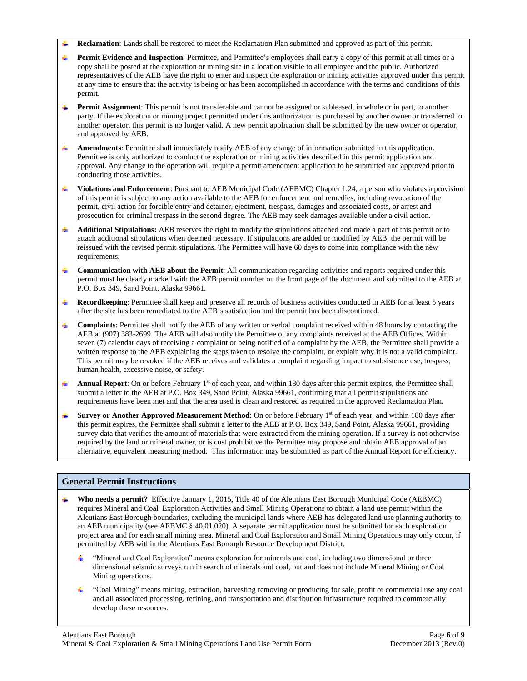- **Reclamation**: Lands shall be restored to meet the Reclamation Plan submitted and approved as part of this permit.
- Permit Evidence and Inspection: Permittee, and Permittee's employees shall carry a copy of this permit at all times or a copy shall be posted at the exploration or mining site in a location visible to all employee and the public. Authorized representatives of the AEB have the right to enter and inspect the exploration or mining activities approved under this permit at any time to ensure that the activity is being or has been accomplished in accordance with the terms and conditions of this permit.
- 4 **Permit Assignment**: This permit is not transferable and cannot be assigned or subleased, in whole or in part, to another party. If the exploration or mining project permitted under this authorization is purchased by another owner or transferred to another operator, this permit is no longer valid. A new permit application shall be submitted by the new owner or operator, and approved by AEB.
- $\ddot{\phantom{a}}$ **Amendments**: Permittee shall immediately notify AEB of any change of information submitted in this application. Permittee is only authorized to conduct the exploration or mining activities described in this permit application and approval. Any change to the operation will require a permit amendment application to be submitted and approved prior to conducting those activities.
- **Violations and Enforcement**: Pursuant to AEB Municipal Code (AEBMC) Chapter 1.24, a person who violates a provision of this permit is subject to any action available to the AEB for enforcement and remedies, including revocation of the permit, civil action for forcible entry and detainer, ejectment, trespass, damages and associated costs, or arrest and prosecution for criminal trespass in the second degree. The AEB may seek damages available under a civil action.
- **Additional Stipulations:** AEB reserves the right to modify the stipulations attached and made a part of this permit or to attach additional stipulations when deemed necessary. If stipulations are added or modified by AEB, the permit will be reissued with the revised permit stipulations. The Permittee will have 60 days to come into compliance with the new requirements.
- **Communication with AEB about the Permit**: All communication regarding activities and reports required under this permit must be clearly marked with the AEB permit number on the front page of the document and submitted to the AEB at P.O. Box 349, Sand Point, Alaska 99661.
- ₩., **Recordkeeping**: Permittee shall keep and preserve all records of business activities conducted in AEB for at least 5 years after the site has been remediated to the AEB's satisfaction and the permit has been discontinued.
- **Complaints**: Permittee shall notify the AEB of any written or verbal complaint received within 48 hours by contacting the AEB at (907) 383-2699. The AEB will also notify the Permittee of any complaints received at the AEB Offices. Within seven (7) calendar days of receiving a complaint or being notified of a complaint by the AEB, the Permittee shall provide a written response to the AEB explaining the steps taken to resolve the complaint, or explain why it is not a valid complaint. This permit may be revoked if the AEB receives and validates a complaint regarding impact to subsistence use, trespass, human health, excessive noise, or safety.
- **Annual Report**: On or before February  $1<sup>st</sup>$  of each year, and within 180 days after this permit expires, the Permittee shall submit a letter to the AEB at P.O. Box 349, Sand Point, Alaska 99661, confirming that all permit stipulations and requirements have been met and that the area used is clean and restored as required in the approved Reclamation Plan.
- **Survey or Another Approved Measurement Method:** On or before February 1<sup>st</sup> of each year, and within 180 days after  $\ddot{\phantom{1}}$ this permit expires, the Permittee shall submit a letter to the AEB at P.O. Box 349, Sand Point, Alaska 99661, providing survey data that verifies the amount of materials that were extracted from the mining operation. If a survey is not otherwise required by the land or mineral owner, or is cost prohibitive the Permittee may propose and obtain AEB approval of an alternative, equivalent measuring method. This information may be submitted as part of the Annual Report for efficiency.

# **General Permit Instructions**

- **Who needs a permit?** Effective January 1, 2015, Title 40 of the Aleutians East Borough Municipal Code (AEBMC) requires Mineral and Coal Exploration Activities and Small Mining Operations to obtain a land use permit within the Aleutians East Borough boundaries, excluding the municipal lands where AEB has delegated land use planning authority to an AEB municipality (see AEBMC § 40.01.020). A separate permit application must be submitted for each exploration project area and for each small mining area. Mineral and Coal Exploration and Small Mining Operations may only occur, if permitted by AEB within the Aleutians East Borough Resource Development District.
	- "Mineral and Coal Exploration" means exploration for minerals and coal, including two dimensional or three dimensional seismic surveys run in search of minerals and coal, but and does not include Mineral Mining or Coal Mining operations.
	- 4 "Coal Mining" means mining, extraction, harvesting removing or producing for sale, profit or commercial use any coal and all associated processing, refining, and transportation and distribution infrastructure required to commercially develop these resources.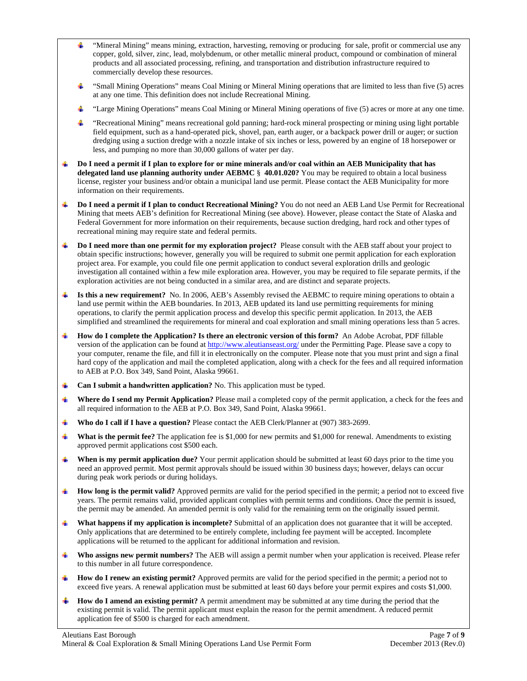- "Mineral Mining" means mining, extraction, harvesting, removing or producing for sale, profit or commercial use any copper, gold, silver, zinc, lead, molybdenum, or other metallic mineral product, compound or combination of mineral products and all associated processing, refining, and transportation and distribution infrastructure required to commercially develop these resources.
- "Small Mining Operations" means Coal Mining or Mineral Mining operations that are limited to less than five (5) acres at any one time. This definition does not include Recreational Mining.
- "Large Mining Operations" means Coal Mining or Mineral Mining operations of five (5) acres or more at any one time.
- "Recreational Mining" means recreational gold panning; hard-rock mineral prospecting or mining using light portable field equipment, such as a hand-operated pick, shovel, pan, earth auger, or a backpack power drill or auger; or suction dredging using a suction dredge with a nozzle intake of six inches or less, powered by an engine of 18 horsepower or less, and pumping no more than 30,000 gallons of water per day.
- **Do I need a permit if I plan to explore for or mine minerals and/or coal within an AEB Municipality that has delegated land use planning authority under AEBMC** § **40.01.020?** You may be required to obtain a local business license, register your business and/or obtain a municipal land use permit. Please contact the AEB Municipality for more information on their requirements.
- **Do I need a permit if I plan to conduct Recreational Mining?** You do not need an AEB Land Use Permit for Recreational Mining that meets AEB's definition for Recreational Mining (see above). However, please contact the State of Alaska and Federal Government for more information on their requirements, because suction dredging, hard rock and other types of recreational mining may require state and federal permits.
- **Do I need more than one permit for my exploration project?** Please consult with the AEB staff about your project to ÷ obtain specific instructions; however, generally you will be required to submit one permit application for each exploration project area. For example, you could file one permit application to conduct several exploration drills and geologic investigation all contained within a few mile exploration area. However, you may be required to file separate permits, if the exploration activities are not being conducted in a similar area, and are distinct and separate projects.
- **Is this a new requirement?** No. In 2006, AEB's Assembly revised the AEBMC to require mining operations to obtain a land use permit within the AEB boundaries. In 2013, AEB updated its land use permitting requirements for mining operations, to clarify the permit application process and develop this specific permit application. In 2013, the AEB simplified and streamlined the requirements for mineral and coal exploration and small mining operations less than 5 acres.
- **How do I complete the Application? Is there an electronic version of this form?** An Adobe Acrobat, PDF fillable version of the application can be found at http://www.aleutianseast.org/ under the Permitting Page. Please save a copy to your computer, rename the file, and fill it in electronically on the computer. Please note that you must print and sign a final hard copy of the application and mail the completed application, along with a check for the fees and all required information to AEB at P.O. Box 349, Sand Point, Alaska 99661.
- **Can I submit a handwritten application?** No. This application must be typed.
- ٠ **Where do I send my Permit Application?** Please mail a completed copy of the permit application, a check for the fees and all required information to the AEB at P.O. Box 349, Sand Point, Alaska 99661.
- **Who do I call if I have a question?** Please contact the AEB Clerk/Planner at (907) 383-2699.
- **What is the permit fee?** The application fee is \$1,000 for new permits and \$1,000 for renewal. Amendments to existing approved permit applications cost \$500 each.
- **When is my permit application due?** Your permit application should be submitted at least 60 days prior to the time you need an approved permit. Most permit approvals should be issued within 30 business days; however, delays can occur during peak work periods or during holidays.
- **How long is the permit valid?** Approved permits are valid for the period specified in the permit; a period not to exceed five years. The permit remains valid, provided applicant complies with permit terms and conditions. Once the permit is issued, the permit may be amended. An amended permit is only valid for the remaining term on the originally issued permit.
- **What happens if my application is incomplete?** Submittal of an application does not guarantee that it will be accepted. de la Only applications that are determined to be entirely complete, including fee payment will be accepted. Incomplete applications will be returned to the applicant for additional information and revision.
- **Who assigns new permit numbers?** The AEB will assign a permit number when your application is received. Please refer  $\pm$ to this number in all future correspondence.
- **How do I renew an existing permit?** Approved permits are valid for the period specified in the permit; a period not to exceed five years. A renewal application must be submitted at least 60 days before your permit expires and costs \$1,000.
- **How do I amend an existing permit?** A permit amendment may be submitted at any time during the period that the existing permit is valid. The permit applicant must explain the reason for the permit amendment. A reduced permit application fee of \$500 is charged for each amendment.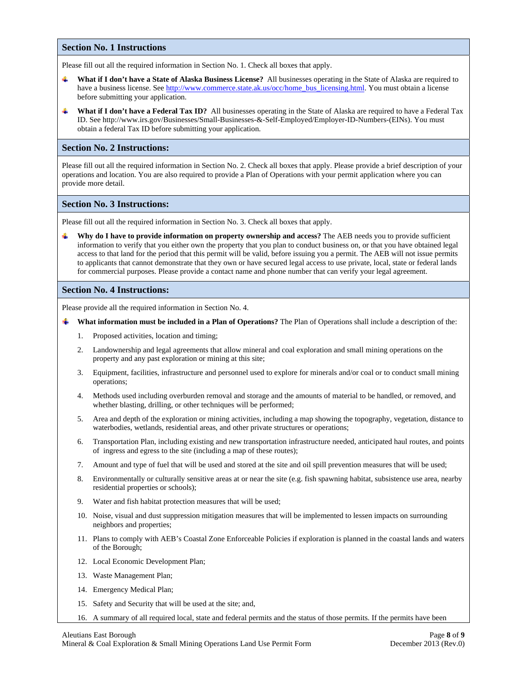#### **Section No. 1 Instructions**

Please fill out all the required information in Section No. 1. Check all boxes that apply.

- **What if I don't have a State of Alaska Business License?** All businesses operating in the State of Alaska are required to have a business license. See http://www.commerce.state.ak.us/occ/home\_bus\_licensing.html. You must obtain a license before submitting your application.
- ÷ **What if I don't have a Federal Tax ID?** All businesses operating in the State of Alaska are required to have a Federal Tax ID. See http://www.irs.gov/Businesses/Small-Businesses-&-Self-Employed/Employer-ID-Numbers-(EINs). You must obtain a federal Tax ID before submitting your application.

#### **Section No. 2 Instructions:**

Please fill out all the required information in Section No. 2. Check all boxes that apply. Please provide a brief description of your operations and location. You are also required to provide a Plan of Operations with your permit application where you can provide more detail.

#### **Section No. 3 Instructions:**

Please fill out all the required information in Section No. 3. Check all boxes that apply.

**Why do I have to provide information on property ownership and access?** The AEB needs you to provide sufficient information to verify that you either own the property that you plan to conduct business on, or that you have obtained legal access to that land for the period that this permit will be valid, before issuing you a permit. The AEB will not issue permits to applicants that cannot demonstrate that they own or have secured legal access to use private, local, state or federal lands for commercial purposes. Please provide a contact name and phone number that can verify your legal agreement.

#### **Section No. 4 Instructions:**

Please provide all the required information in Section No. 4.

- **What information must be included in a Plan of Operations?** The Plan of Operations shall include a description of the:
	- 1. Proposed activities, location and timing;
	- 2. Landownership and legal agreements that allow mineral and coal exploration and small mining operations on the property and any past exploration or mining at this site;
	- 3. Equipment, facilities, infrastructure and personnel used to explore for minerals and/or coal or to conduct small mining operations;
	- 4. Methods used including overburden removal and storage and the amounts of material to be handled, or removed, and whether blasting, drilling, or other techniques will be performed;
	- 5. Area and depth of the exploration or mining activities, including a map showing the topography, vegetation, distance to waterbodies, wetlands, residential areas, and other private structures or operations;
	- 6. Transportation Plan, including existing and new transportation infrastructure needed, anticipated haul routes, and points of ingress and egress to the site (including a map of these routes);
	- 7. Amount and type of fuel that will be used and stored at the site and oil spill prevention measures that will be used;
	- 8. Environmentally or culturally sensitive areas at or near the site (e.g. fish spawning habitat, subsistence use area, nearby residential properties or schools);
	- 9. Water and fish habitat protection measures that will be used;
	- 10. Noise, visual and dust suppression mitigation measures that will be implemented to lessen impacts on surrounding neighbors and properties;
	- 11. Plans to comply with AEB's Coastal Zone Enforceable Policies if exploration is planned in the coastal lands and waters of the Borough;
	- 12. Local Economic Development Plan;
	- 13. Waste Management Plan;
	- 14. Emergency Medical Plan;
	- 15. Safety and Security that will be used at the site; and,
	- 16. A summary of all required local, state and federal permits and the status of those permits. If the permits have been